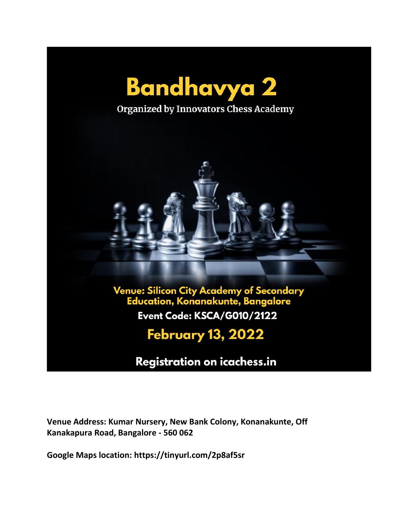

Registration on icachess.in

**Venue Address: Kumar Nursery, New Bank Colony, Konanakunte, Off Kanakapura Road, Bangalore - 560 062**

**Google Maps location: https://tinyurl.com/2p8af5sr**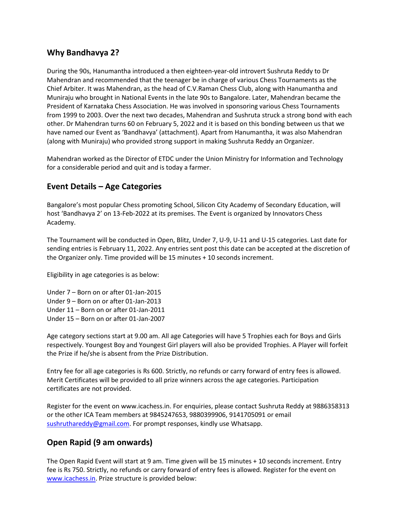## **Why Bandhavya 2?**

During the 90s, Hanumantha introduced a then eighteen-year-old introvert Sushruta Reddy to Dr Mahendran and recommended that the teenager be in charge of various Chess Tournaments as the Chief Arbiter. It was Mahendran, as the head of C.V.Raman Chess Club, along with Hanumantha and Muniraju who brought in National Events in the late 90s to Bangalore. Later, Mahendran became the President of Karnataka Chess Association. He was involved in sponsoring various Chess Tournaments from 1999 to 2003. Over the next two decades, Mahendran and Sushruta struck a strong bond with each other. Dr Mahendran turns 60 on February 5, 2022 and it is based on this bonding between us that we have named our Event as 'Bandhavya' (attachment). Apart from Hanumantha, it was also Mahendran (along with Muniraju) who provided strong support in making Sushruta Reddy an Organizer.

Mahendran worked as the Director of ETDC under the Union Ministry for Information and Technology for a considerable period and quit and is today a farmer.

## **Event Details – Age Categories**

Bangalore's most popular Chess promoting School, Silicon City Academy of Secondary Education, will host 'Bandhavya 2' on 13-Feb-2022 at its premises. The Event is organized by Innovators Chess Academy.

The Tournament will be conducted in Open, Blitz, Under 7, U-9, U-11 and U-15 categories. Last date for sending entries is February 11, 2022. Any entries sent post this date can be accepted at the discretion of the Organizer only. Time provided will be 15 minutes + 10 seconds increment.

Eligibility in age categories is as below:

Under 7 – Born on or after 01-Jan-2015 Under 9 – Born on or after 01-Jan-2013 Under 11 – Born on or after 01-Jan-2011 Under 15 – Born on or after 01-Jan-2007

Age category sections start at 9.00 am. All age Categories will have 5 Trophies each for Boys and Girls respectively. Youngest Boy and Youngest Girl players will also be provided Trophies. A Player will forfeit the Prize if he/she is absent from the Prize Distribution.

Entry fee for all age categories is Rs 600. Strictly, no refunds or carry forward of entry fees is allowed. Merit Certificates will be provided to all prize winners across the age categories. Participation certificates are not provided.

Register for the event on www.icachess.in. For enquiries, please contact Sushruta Reddy at 9886358313 or the other ICA Team members at 9845247653, 9880399906, 9141705091 or email [sushruthareddy@gmail.com.](mailto:sushruthareddy@gmail.com) For prompt responses, kindly use Whatsapp.

## **Open Rapid (9 am onwards)**

The Open Rapid Event will start at 9 am. Time given will be 15 minutes + 10 seconds increment. Entry fee is Rs 750. Strictly, no refunds or carry forward of entry fees is allowed. Register for the event on [www.icachess.in.](http://www.icachess.in/) Prize structure is provided below: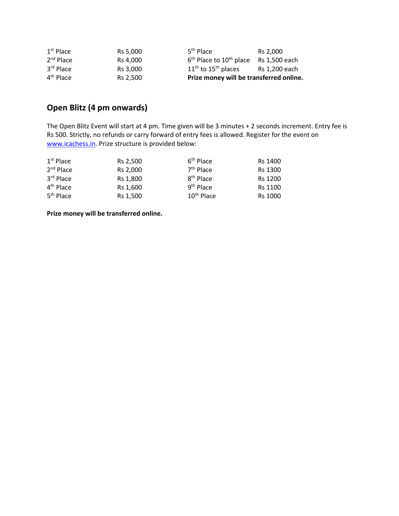| 4 <sup>th</sup> Place | Rs 2.500 | Prize money will be transferred online.             |               |
|-----------------------|----------|-----------------------------------------------------|---------------|
| 3rd Place             | Rs 3.000 | $11th$ to $15th$ places                             | Rs 1.200 each |
| $2nd$ Place           | Rs 4.000 | $6th$ Place to 10 <sup>th</sup> place Rs 1,500 each |               |
| $1st$ Place           | Rs 5.000 | 5 <sup>th</sup> Place                               | Rs 2.000      |

## **Open Blitz (4 pm onwards)**

The Open Blitz Event will start at 4 pm. Time given will be 3 minutes + 2 seconds increment. Entry fee is Rs 500. Strictly, no refunds or carry forward of entry fees is allowed. Register for the event on [www.icachess.in.](http://www.icachess.in/) Prize structure is provided below:

| $1st$ Place           | Rs 2,500 | 6 <sup>th</sup> Place  | Rs 1400        |
|-----------------------|----------|------------------------|----------------|
| $2nd$ Place           | Rs 2.000 | $7th$ Place            | Rs 1300        |
| 3rd Place             | Rs 1,800 | 8 <sup>th</sup> Place  | <b>Rs 1200</b> |
| 4 <sup>th</sup> Place | Rs 1,600 | 9 <sup>th</sup> Place  | Rs 1100        |
| 5 <sup>th</sup> Place | Rs 1.500 | 10 <sup>th</sup> Place | Rs 1000        |

**Prize money will be transferred online.**